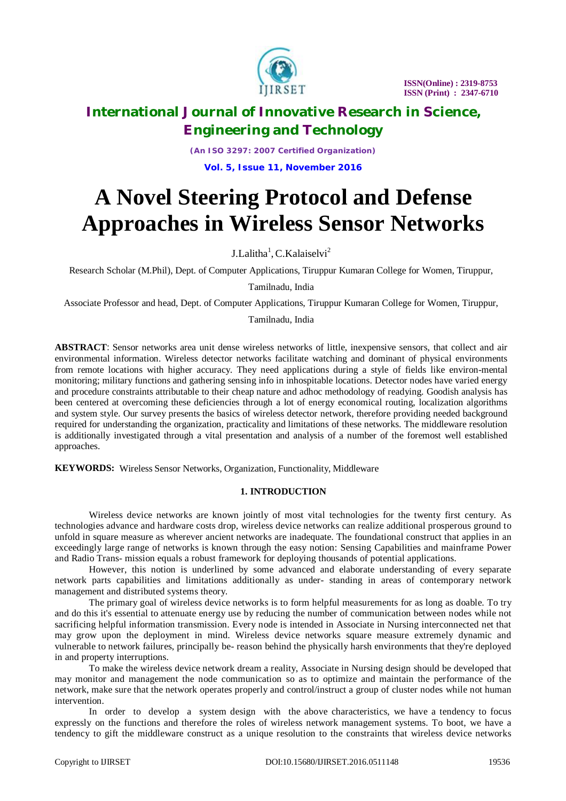

*(An ISO 3297: 2007 Certified Organization)* **Vol. 5, Issue 11, November 2016**

# **A Novel Steering Protocol and Defense Approaches in Wireless Sensor Networks**

 $J.Lalitha<sup>1</sup>, C.Kalaiselvi<sup>2</sup>$ 

Research Scholar (M.Phil), Dept. of Computer Applications, Tiruppur Kumaran College for Women, Tiruppur,

Tamilnadu, India

Associate Professor and head, Dept. of Computer Applications, Tiruppur Kumaran College for Women, Tiruppur,

Tamilnadu, India

**ABSTRACT**: Sensor networks area unit dense wireless networks of little, inexpensive sensors, that collect and air environmental information. Wireless detector networks facilitate watching and dominant of physical environments from remote locations with higher accuracy. They need applications during a style of fields like environ-mental monitoring; military functions and gathering sensing info in inhospitable locations. Detector nodes have varied energy and procedure constraints attributable to their cheap nature and adhoc methodology of readying. Goodish analysis has been centered at overcoming these deficiencies through a lot of energy economical routing, localization algorithms and system style. Our survey presents the basics of wireless detector network, therefore providing needed background required for understanding the organization, practicality and limitations of these networks. The middleware resolution is additionally investigated through a vital presentation and analysis of a number of the foremost well established approaches.

**KEYWORDS:** Wireless Sensor Networks, Organization, Functionality, Middleware

### **1. INTRODUCTION**

Wireless device networks are known jointly of most vital technologies for the twenty first century. As technologies advance and hardware costs drop, wireless device networks can realize additional prosperous ground to unfold in square measure as wherever ancient networks are inadequate. The foundational construct that applies in an exceedingly large range of networks is known through the easy notion: Sensing Capabilities and mainframe Power and Radio Trans- mission equals a robust framework for deploying thousands of potential applications.

However, this notion is underlined by some advanced and elaborate understanding of every separate network parts capabilities and limitations additionally as under- standing in areas of contemporary network management and distributed systems theory.

The primary goal of wireless device networks is to form helpful measurements for as long as doable. To try and do this it's essential to attenuate energy use by reducing the number of communication between nodes while not sacrificing helpful information transmission. Every node is intended in Associate in Nursing interconnected net that may grow upon the deployment in mind. Wireless device networks square measure extremely dynamic and vulnerable to network failures, principally be- reason behind the physically harsh environments that they're deployed in and property interruptions.

To make the wireless device network dream a reality, Associate in Nursing design should be developed that may monitor and management the node communication so as to optimize and maintain the performance of the network, make sure that the network operates properly and control/instruct a group of cluster nodes while not human intervention.

In order to develop a system design with the above characteristics, we have a tendency to focus expressly on the functions and therefore the roles of wireless network management systems. To boot, we have a tendency to gift the middleware construct as a unique resolution to the constraints that wireless device networks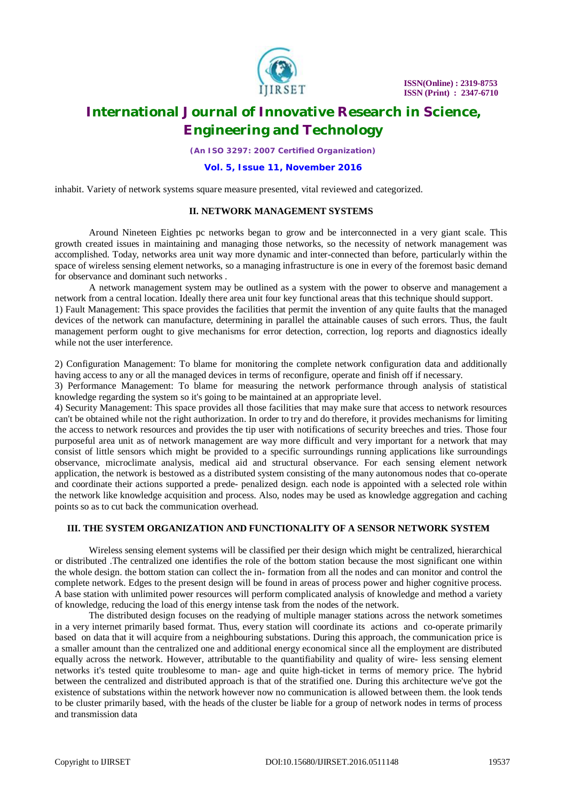

*(An ISO 3297: 2007 Certified Organization)*

#### **Vol. 5, Issue 11, November 2016**

inhabit. Variety of network systems square measure presented, vital reviewed and categorized.

#### **II. NETWORK MANAGEMENT SYSTEMS**

Around Nineteen Eighties pc networks began to grow and be interconnected in a very giant scale. This growth created issues in maintaining and managing those networks, so the necessity of network management was accomplished. Today, networks area unit way more dynamic and inter-connected than before, particularly within the space of wireless sensing element networks, so a managing infrastructure is one in every of the foremost basic demand for observance and dominant such networks .

A network management system may be outlined as a system with the power to observe and management a network from a central location. Ideally there area unit four key functional areas that this technique should support. 1) Fault Management: This space provides the facilities that permit the invention of any quite faults that the managed devices of the network can manufacture, determining in parallel the attainable causes of such errors. Thus, the fault management perform ought to give mechanisms for error detection, correction, log reports and diagnostics ideally while not the user interference.

2) Configuration Management: To blame for monitoring the complete network configuration data and additionally having access to any or all the managed devices in terms of reconfigure, operate and finish off if necessary.

3) Performance Management: To blame for measuring the network performance through analysis of statistical knowledge regarding the system so it's going to be maintained at an appropriate level.

4) Security Management: This space provides all those facilities that may make sure that access to network resources can't be obtained while not the right authorization. In order to try and do therefore, it provides mechanisms for limiting the access to network resources and provides the tip user with notifications of security breeches and tries. Those four purposeful area unit as of network management are way more difficult and very important for a network that may consist of little sensors which might be provided to a specific surroundings running applications like surroundings observance, microclimate analysis, medical aid and structural observance. For each sensing element network application, the network is bestowed as a distributed system consisting of the many autonomous nodes that co-operate and coordinate their actions supported a prede- penalized design. each node is appointed with a selected role within the network like knowledge acquisition and process. Also, nodes may be used as knowledge aggregation and caching points so as to cut back the communication overhead.

#### **III. THE SYSTEM ORGANIZATION AND FUNCTIONALITY OF A SENSOR NETWORK SYSTEM**

Wireless sensing element systems will be classified per their design which might be centralized, hierarchical or distributed .The centralized one identifies the role of the bottom station because the most significant one within the whole design. the bottom station can collect the in- formation from all the nodes and can monitor and control the complete network. Edges to the present design will be found in areas of process power and higher cognitive process. A base station with unlimited power resources will perform complicated analysis of knowledge and method a variety of knowledge, reducing the load of this energy intense task from the nodes of the network.

The distributed design focuses on the readying of multiple manager stations across the network sometimes in a very internet primarily based format. Thus, every station will coordinate its actions and co-operate primarily based on data that it will acquire from a neighbouring substations. During this approach, the communication price is a smaller amount than the centralized one and additional energy economical since all the employment are distributed equally across the network. However, attributable to the quantifiability and quality of wire- less sensing element networks it's tested quite troublesome to man- age and quite high-ticket in terms of memory price. The hybrid between the centralized and distributed approach is that of the stratified one. During this architecture we've got the existence of substations within the network however now no communication is allowed between them. the look tends to be cluster primarily based, with the heads of the cluster be liable for a group of network nodes in terms of process and transmission data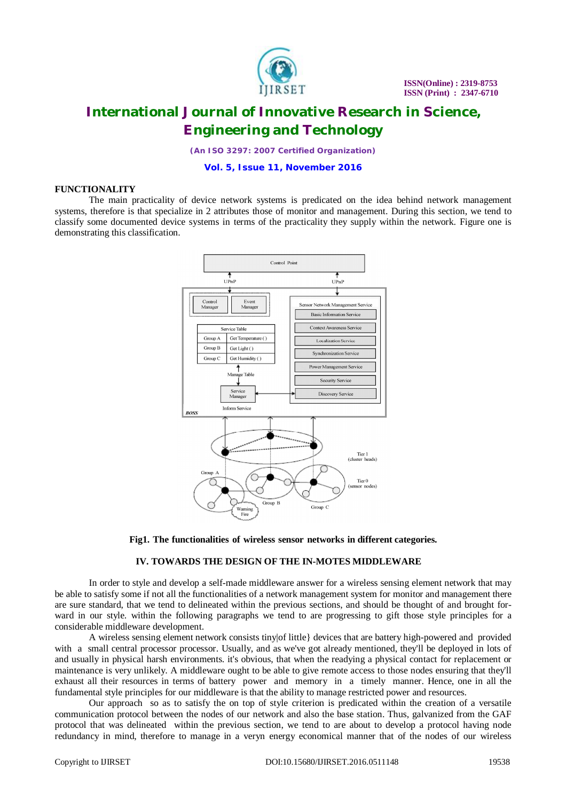

*(An ISO 3297: 2007 Certified Organization)*

**Vol. 5, Issue 11, November 2016**

#### **FUNCTIONALITY**

The main practicality of device network systems is predicated on the idea behind network management systems, therefore is that specialize in 2 attributes those of monitor and management. During this section, we tend to classify some documented device systems in terms of the practicality they supply within the network. Figure one is demonstrating this classification.





#### **IV. TOWARDS THE DESIGN OF THE IN-MOTES MIDDLEWARE**

In order to style and develop a self-made middleware answer for a wireless sensing element network that may be able to satisfy some if not all the functionalities of a network management system for monitor and management there are sure standard, that we tend to delineated within the previous sections, and should be thought of and brought forward in our style. within the following paragraphs we tend to are progressing to gift those style principles for a considerable middleware development.

A wireless sensing element network consists tiny|of little} devices that are battery high-powered and provided with a small central processor processor. Usually, and as we've got already mentioned, they'll be deployed in lots of and usually in physical harsh environments. it's obvious, that when the readying a physical contact for replacement or maintenance is very unlikely. A middleware ought to be able to give remote access to those nodes ensuring that they'll exhaust all their resources in terms of battery power and memory in a timely manner. Hence, one in all the fundamental style principles for our middleware is that the ability to manage restricted power and resources.

Our approach so as to satisfy the on top of style criterion is predicated within the creation of a versatile communication protocol between the nodes of our network and also the base station. Thus, galvanized from the GAF protocol that was delineated within the previous section, we tend to are about to develop a protocol having node redundancy in mind, therefore to manage in a veryn energy economical manner that of the nodes of our wireless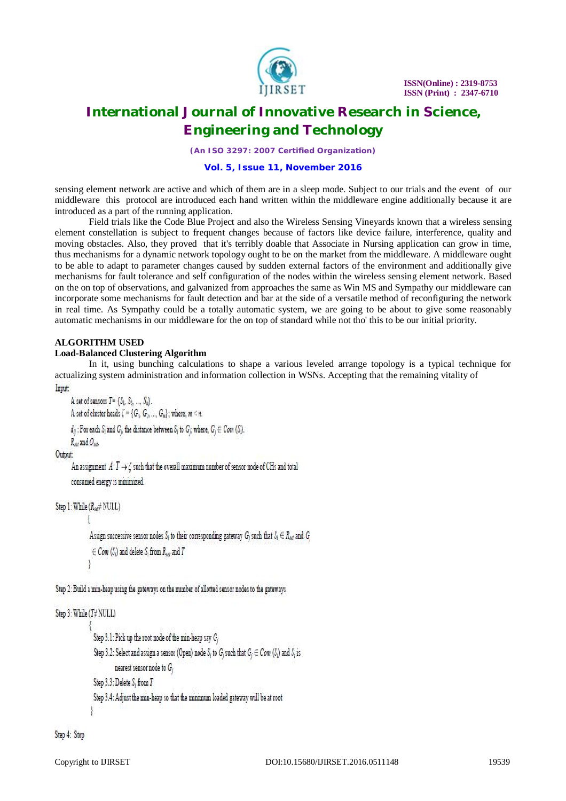

*(An ISO 3297: 2007 Certified Organization)*

#### **Vol. 5, Issue 11, November 2016**

sensing element network are active and which of them are in a sleep mode. Subject to our trials and the event of our middleware this protocol are introduced each hand written within the middleware engine additionally because it are introduced as a part of the running application.

Field trials like the Code Blue Project and also the Wireless Sensing Vineyards known that a wireless sensing element constellation is subject to frequent changes because of factors like device failure, interference, quality and moving obstacles. Also, they proved that it's terribly doable that Associate in Nursing application can grow in time, thus mechanisms for a dynamic network topology ought to be on the market from the middleware. A middleware ought to be able to adapt to parameter changes caused by sudden external factors of the environment and additionally give mechanisms for fault tolerance and self configuration of the nodes within the wireless sensing element network. Based on the on top of observations, and galvanized from approaches the same as Win MS and Sympathy our middleware can incorporate some mechanisms for fault detection and bar at the side of a versatile method of reconfiguring the network in real time. As Sympathy could be a totally automatic system, we are going to be about to give some reasonably automatic mechanisms in our middleware for the on top of standard while not tho' this to be our initial priority.

### **ALGORITHM USED**

### **Load-Balanced Clustering Algorithm**

In it, using bunching calculations to shape a various leveled arrange topology is a typical technique for actualizing system administration and information collection in WSNs. Accepting that the remaining vitality of Input:

```
A set of sensors T = \{S_1, S_2, ..., S_n\}.
A set of cluster heads \zeta = \{G_1, G_2, ..., G_n\}; where, m \leq n.
d_{ij}: For each S<sub>i</sub> and G<sub>i</sub>, the distance between S<sub>i</sub> to G<sub>i</sub>, where, G_i \in Com(S_i).
R<sub>set</sub> and Oset.
```
Output:

An assignment  $A: \Gamma \rightarrow \mathcal{L}$  such that the overall maximum number of sensor node of CHs and total consumed energy is minimized.

Step 1: While (Root NULL)

```
Assign successive sensor nodes S_i to their corresponding gateway G_i such that S_i \in R_{set} and G\in Com (S) and delete S, from R_{\omega} and T
ß
```
Step 2: Build a min-heap using the gateways on the number of allotted sensor nodes to the gateways

```
Step 3: While (T# NULL)
                Step 3.1: Pick up the root node of the min-heap say G,
                Step 3.2: Select and assign a sensor (Open) node S_i to G_i such that G_i \in Com(S_i) and S_i is
                         nearest sensor node to G
                Step 3.3: Delete S, from T
                Step 3.4: Adjust the min-heap so that the minimum loaded gateway will be at root
```
Step 4: Stop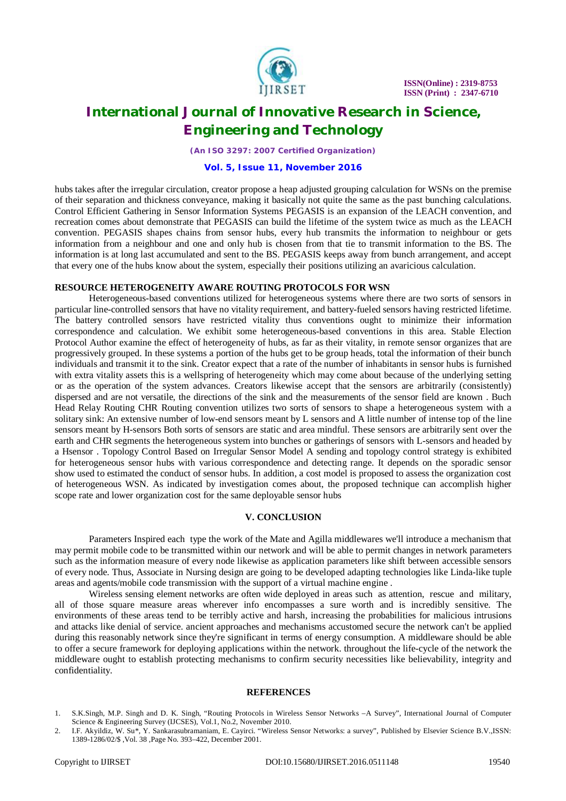

*(An ISO 3297: 2007 Certified Organization)*

#### **Vol. 5, Issue 11, November 2016**

hubs takes after the irregular circulation, creator propose a heap adjusted grouping calculation for WSNs on the premise of their separation and thickness conveyance, making it basically not quite the same as the past bunching calculations. Control Efficient Gathering in Sensor Information Systems PEGASIS is an expansion of the LEACH convention, and recreation comes about demonstrate that PEGASIS can build the lifetime of the system twice as much as the LEACH convention. PEGASIS shapes chains from sensor hubs, every hub transmits the information to neighbour or gets information from a neighbour and one and only hub is chosen from that tie to transmit information to the BS. The information is at long last accumulated and sent to the BS. PEGASIS keeps away from bunch arrangement, and accept that every one of the hubs know about the system, especially their positions utilizing an avaricious calculation.

#### **RESOURCE HETEROGENEITY AWARE ROUTING PROTOCOLS FOR WSN**

Heterogeneous-based conventions utilized for heterogeneous systems where there are two sorts of sensors in particular line-controlled sensors that have no vitality requirement, and battery-fueled sensors having restricted lifetime. The battery controlled sensors have restricted vitality thus conventions ought to minimize their information correspondence and calculation. We exhibit some heterogeneous-based conventions in this area. Stable Election Protocol Author examine the effect of heterogeneity of hubs, as far as their vitality, in remote sensor organizes that are progressively grouped. In these systems a portion of the hubs get to be group heads, total the information of their bunch individuals and transmit it to the sink. Creator expect that a rate of the number of inhabitants in sensor hubs is furnished with extra vitality assets this is a wellspring of heterogeneity which may come about because of the underlying setting or as the operation of the system advances. Creators likewise accept that the sensors are arbitrarily (consistently) dispersed and are not versatile, the directions of the sink and the measurements of the sensor field are known . Buch Head Relay Routing CHR Routing convention utilizes two sorts of sensors to shape a heterogeneous system with a solitary sink: An extensive number of low-end sensors meant by L sensors and A little number of intense top of the line sensors meant by H-sensors Both sorts of sensors are static and area mindful. These sensors are arbitrarily sent over the earth and CHR segments the heterogeneous system into bunches or gatherings of sensors with L-sensors and headed by a Hsensor . Topology Control Based on Irregular Sensor Model A sending and topology control strategy is exhibited for heterogeneous sensor hubs with various correspondence and detecting range. It depends on the sporadic sensor show used to estimated the conduct of sensor hubs. In addition, a cost model is proposed to assess the organization cost of heterogeneous WSN. As indicated by investigation comes about, the proposed technique can accomplish higher scope rate and lower organization cost for the same deployable sensor hubs

### **V. CONCLUSION**

Parameters Inspired each type the work of the Mate and Agilla middlewares we'll introduce a mechanism that may permit mobile code to be transmitted within our network and will be able to permit changes in network parameters such as the information measure of every node likewise as application parameters like shift between accessible sensors of every node. Thus, Associate in Nursing design are going to be developed adapting technologies like Linda-like tuple areas and agents/mobile code transmission with the support of a virtual machine engine .

Wireless sensing element networks are often wide deployed in areas such as attention, rescue and military, all of those square measure areas wherever info encompasses a sure worth and is incredibly sensitive. The environments of these areas tend to be terribly active and harsh, increasing the probabilities for malicious intrusions and attacks like denial of service. ancient approaches and mechanisms accustomed secure the network can't be applied during this reasonably network since they're significant in terms of energy consumption. A middleware should be able to offer a secure framework for deploying applications within the network. throughout the life-cycle of the network the middleware ought to establish protecting mechanisms to confirm security necessities like believability, integrity and confidentiality.

#### **REFERENCES**

- 1. S.K.Singh, M.P. Singh and D. K. Singh, "Routing Protocols in Wireless Sensor Networks –A Survey", International Journal of Computer Science & Engineering Survey (IJCSES), Vol.1, No.2, November 2010.
- 2. I.F. Akyildiz, W. Su\*, Y. Sankarasubramaniam, E. Cayirci. "Wireless Sensor Networks: a survey", Published by Elsevier Science B.V.,ISSN: 1389-1286/02/\$ ,Vol. 38 ,Page No. 393–422, December 2001.